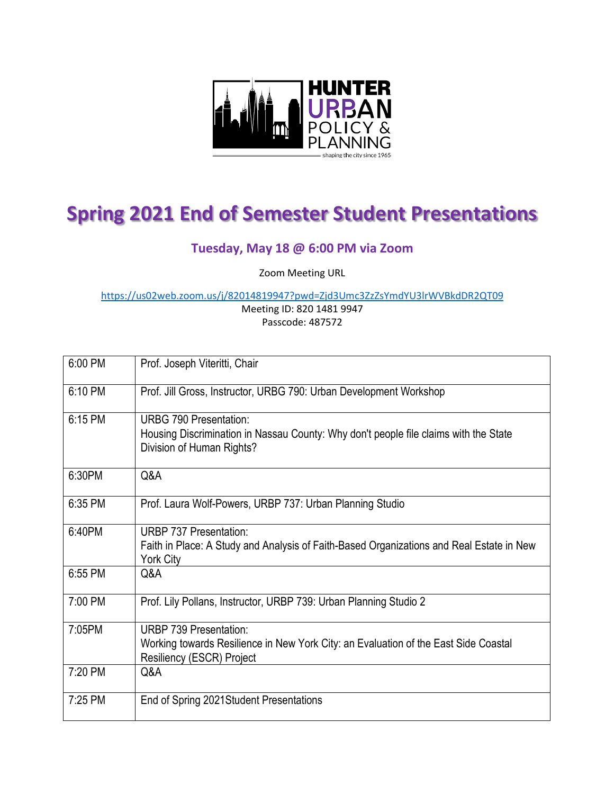

# **Spring 2021 End of Semester Student Presentations**

# **Tuesday, May 18 @ 6:00 PM via Zoom**

Zoom Meeting URL

<https://us02web.zoom.us/j/82014819947?pwd=Zjd3Umc3ZzZsYmdYU3lrWVBkdDR2QT09>

Meeting ID: 820 1481 9947 Passcode: 487572

| 6:00 PM | Prof. Joseph Viteritti, Chair                                                                                                                      |
|---------|----------------------------------------------------------------------------------------------------------------------------------------------------|
| 6:10 PM | Prof. Jill Gross, Instructor, URBG 790: Urban Development Workshop                                                                                 |
| 6:15 PM | <b>URBG 790 Presentation:</b><br>Housing Discrimination in Nassau County: Why don't people file claims with the State<br>Division of Human Rights? |
| 6:30PM  | Q&A                                                                                                                                                |
| 6:35 PM | Prof. Laura Wolf-Powers, URBP 737: Urban Planning Studio                                                                                           |
| 6:40PM  | <b>URBP 737 Presentation:</b><br>Faith in Place: A Study and Analysis of Faith-Based Organizations and Real Estate in New<br><b>York City</b>      |
| 6:55 PM | Q&A                                                                                                                                                |
| 7:00 PM | Prof. Lily Pollans, Instructor, URBP 739: Urban Planning Studio 2                                                                                  |
| 7:05PM  | URBP 739 Presentation:<br>Working towards Resilience in New York City: an Evaluation of the East Side Coastal<br>Resiliency (ESCR) Project         |
| 7:20 PM | Q&A                                                                                                                                                |
| 7:25 PM | End of Spring 2021 Student Presentations                                                                                                           |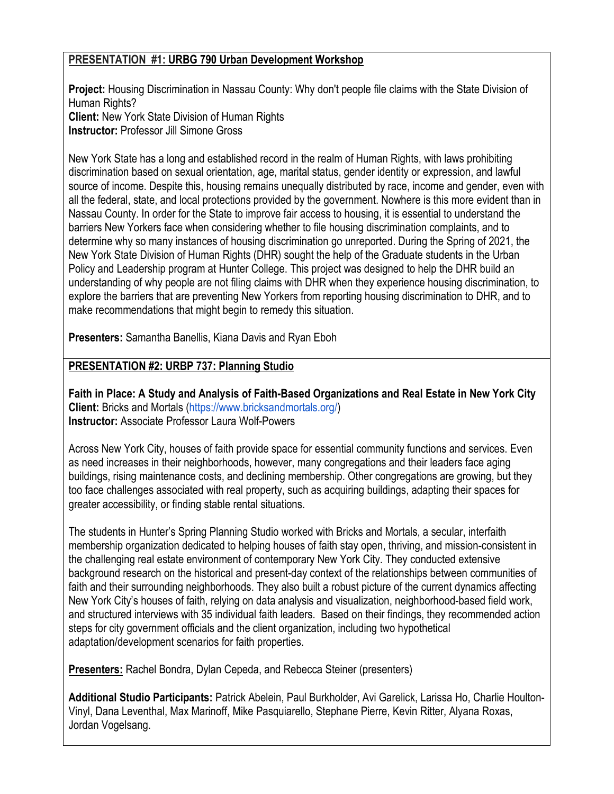### **PRESENTATION #1: URBG 790 Urban Development Workshop**

**Project:** Housing Discrimination in Nassau County: Why don't people file claims with the State Division of Human Rights? **Client:** New York State Division of Human Rights **Instructor:** Professor Jill Simone Gross

New York State has a long and established record in the realm of Human Rights, with laws prohibiting discrimination based on sexual orientation, age, marital status, gender identity or expression, and lawful source of income. Despite this, housing remains unequally distributed by race, income and gender, even with all the federal, state, and local protections provided by the government. Nowhere is this more evident than in Nassau County. In order for the State to improve fair access to housing, it is essential to understand the barriers New Yorkers face when considering whether to file housing discrimination complaints, and to determine why so many instances of housing discrimination go unreported. During the Spring of 2021, the New York State Division of Human Rights (DHR) sought the help of the Graduate students in the Urban Policy and Leadership program at Hunter College. This project was designed to help the DHR build an understanding of why people are not filing claims with DHR when they experience housing discrimination, to explore the barriers that are preventing New Yorkers from reporting housing discrimination to DHR, and to make recommendations that might begin to remedy this situation.

**Presenters:** Samantha Banellis, Kiana Davis and Ryan Eboh

## **PRESENTATION #2: URBP 737: Planning Studio**

**Faith in Place: A Study and Analysis of Faith-Based Organizations and Real Estate in New York City Client:** Bricks and Mortals [\(https://www.bricksandmortals.org/\)](https://www.bricksandmortals.org/) **Instructor:** Associate Professor Laura Wolf-Powers

Across New York City, houses of faith provide space for essential community functions and services. Even as need increases in their neighborhoods, however, many congregations and their leaders face aging buildings, rising maintenance costs, and declining membership. Other congregations are growing, but they too face challenges associated with real property, such as acquiring buildings, adapting their spaces for greater accessibility, or finding stable rental situations.

The students in Hunter's Spring Planning Studio worked with Bricks and Mortals, a secular, interfaith membership organization dedicated to helping houses of faith stay open, thriving, and mission-consistent in the challenging real estate environment of contemporary New York City. They conducted extensive background research on the historical and present-day context of the relationships between communities of faith and their surrounding neighborhoods. They also built a robust picture of the current dynamics affecting New York City's houses of faith, relying on data analysis and visualization, neighborhood-based field work, and structured interviews with 35 individual faith leaders. Based on their findings, they recommended action steps for city government officials and the client organization, including two hypothetical adaptation/development scenarios for faith properties.

**Presenters:** Rachel Bondra, Dylan Cepeda, and Rebecca Steiner (presenters)

**Additional Studio Participants:** Patrick Abelein, Paul Burkholder, Avi Garelick, Larissa Ho, Charlie Houlton-Vinyl, Dana Leventhal, Max Marinoff, Mike Pasquiarello, Stephane Pierre, Kevin Ritter, Alyana Roxas, Jordan Vogelsang.